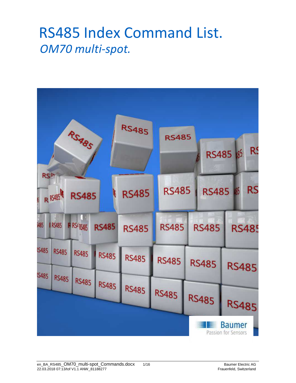## RS485 Index Command List. *OM70 multi-spot.*

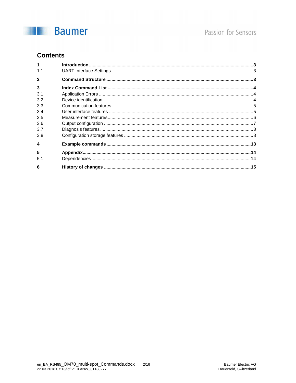

### **Contents**

| $\mathbf{1}$            | $\label{eq:1} \textbf{Introduction} \textcolor{red}{\textbf{.\textbf{1}}}\textbf{.\textbf{1}} \textbf{.} \textbf{.} \textbf{.} \textbf{.} \textbf{.} \textbf{.} \textbf{.} \textbf{.} \textbf{.} \textbf{.} \textbf{.} \textbf{.} \textbf{.} \textbf{.} \textbf{.} \textbf{.} \textbf{.} \textbf{.} \textbf{.} \textbf{.} \textbf{.} \textbf{.} \textbf{.} \textbf{.} \textbf{.} \textbf{.} \textbf{.} \textbf{.} \textbf{.} \textbf{.} \$ |  |
|-------------------------|--------------------------------------------------------------------------------------------------------------------------------------------------------------------------------------------------------------------------------------------------------------------------------------------------------------------------------------------------------------------------------------------------------------------------------------------|--|
| 1.1                     |                                                                                                                                                                                                                                                                                                                                                                                                                                            |  |
| $\overline{2}$          |                                                                                                                                                                                                                                                                                                                                                                                                                                            |  |
| $\overline{\mathbf{3}}$ |                                                                                                                                                                                                                                                                                                                                                                                                                                            |  |
| 3.1                     |                                                                                                                                                                                                                                                                                                                                                                                                                                            |  |
| 3.2                     |                                                                                                                                                                                                                                                                                                                                                                                                                                            |  |
| 3.3                     |                                                                                                                                                                                                                                                                                                                                                                                                                                            |  |
| 3.4                     |                                                                                                                                                                                                                                                                                                                                                                                                                                            |  |
| 3.5                     |                                                                                                                                                                                                                                                                                                                                                                                                                                            |  |
| 3.6                     |                                                                                                                                                                                                                                                                                                                                                                                                                                            |  |
| 3.7                     |                                                                                                                                                                                                                                                                                                                                                                                                                                            |  |
| 3.8                     |                                                                                                                                                                                                                                                                                                                                                                                                                                            |  |
| $\boldsymbol{A}$        |                                                                                                                                                                                                                                                                                                                                                                                                                                            |  |
| 5                       |                                                                                                                                                                                                                                                                                                                                                                                                                                            |  |
| 5.1                     |                                                                                                                                                                                                                                                                                                                                                                                                                                            |  |
| 6                       |                                                                                                                                                                                                                                                                                                                                                                                                                                            |  |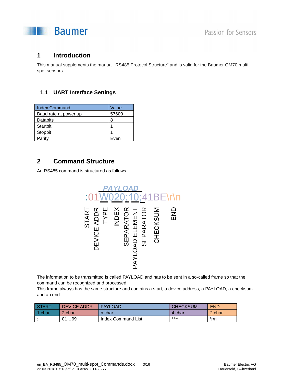

#### **1 Introduction**

This manual supplements the manual "RS485 Protocol Structure" and is valid for the Baumer OM70 multispot sensors.

#### **1.1 UART Interface Settings**

| <b>Index Command</b>  | Value |
|-----------------------|-------|
| Baud rate at power up | 57600 |
| Databits              | 8     |
| Startbit              |       |
| Stopbit               |       |
| Parity                | Even  |

#### **2 Command Structure**

An RS485 command is structured as follows.



The information to be transmitted is called PAYLOAD and has to be sent in a so-called frame so that the command can be recognized and processed.

This frame always has the same structure and contains a start, a device address, a PAYLOAD, a checksum and an end.

| <b>START</b> | <b>DEVICE ADDR</b> | <b>PAYLOAD</b>     | <b>CHECKSUM</b> | <b>END</b> |
|--------------|--------------------|--------------------|-----------------|------------|
| 1 char       | 2 char             | n char             | 4 char          | 2 char     |
|              | 0199               | Index Command List | ****            | \r\n       |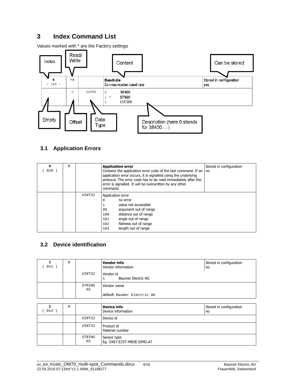### **3 Index Command List**

Values marked with \* are the Factory settings



#### **3.1 Application Errors**

| 0<br>0x0 | $\mathbb{R}$ |        | <b>Application error</b><br>Contains the application error code of the last command. If an   no<br>application error occurs, it is signalled using the underlying<br>protocol. The error code has to be read immediately after the<br>error is signalled. It will be overwritten by any other<br>command. | Stored in configuration |
|----------|--------------|--------|-----------------------------------------------------------------------------------------------------------------------------------------------------------------------------------------------------------------------------------------------------------------------------------------------------------|-------------------------|
|          |              | UINT32 | Application error<br>0<br>no error<br>value not accessible<br>argument out of range<br>99<br>distance out of range<br>100<br>angle out of range<br>101<br>flatness out of range<br>102<br>length out of range<br>103                                                                                      |                         |

#### **3.2 Device identification**

| 0x1 | $\mathbb{R}$ |              | <b>Vendor info</b><br>Vendor information | Stored in configuration<br>no |
|-----|--------------|--------------|------------------------------------------|-------------------------------|
|     |              | UINT32       | Vendor id<br><b>Baumer Electric AG</b>   |                               |
|     |              | STRING<br>65 | Vendor name                              |                               |
|     |              |              | default: Baumer Electric AG              |                               |

| $\mathbf{2}$<br>0x2 | R |              | <b>Device info</b><br>Device information  | Stored in configuration<br>no |
|---------------------|---|--------------|-------------------------------------------|-------------------------------|
|                     |   | UINT32       | Device id                                 |                               |
|                     |   | UINT32       | Product id<br>Material number             |                               |
|                     |   | STRING<br>65 | Sensor type<br>Eg. OXE7.E25T-MB3E.SIMD.A7 |                               |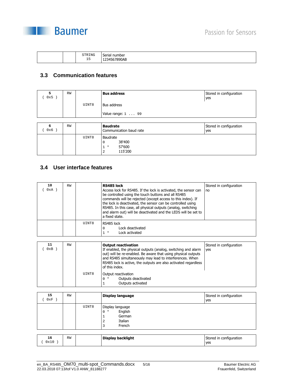

|  | STRING<br>- -<br>ТP | -<br>number<br>Serial<br>7890AB<br>--<br>__<br>. |
|--|---------------------|--------------------------------------------------|
|--|---------------------|--------------------------------------------------|

#### **3.3 Communication features**

| 5<br>0x5)    | <b>RW</b> |       | <b>Bus address</b>                         | Stored in configuration<br>yes |
|--------------|-----------|-------|--------------------------------------------|--------------------------------|
|              |           | UINT8 | Bus address                                |                                |
|              |           |       | Value range: $1 \ldots 99$                 |                                |
|              |           |       |                                            |                                |
|              |           |       |                                            |                                |
| 6<br>$0x6$ ) | <b>RW</b> |       | <b>Baudrate</b><br>Communication baud rate | Stored in configuration<br>yes |

#### **3.4 User interface features**

| 10<br>0xA | <b>RW</b> |       | RS485 lock<br>Access lock for RS485. If the lock is activated, the sensor can<br>be controlled using the touch buttons and all RS485<br>commands will be rejected (except access to this index). If<br>the lock is deactivated, the sensor can be controlled using<br>RS485. In this case, all physical outputs (analog, switching<br>and alarm out) will be deactivated and the LEDS will be set to<br>a fixed state. | Stored in configuration<br>no |
|-----------|-----------|-------|------------------------------------------------------------------------------------------------------------------------------------------------------------------------------------------------------------------------------------------------------------------------------------------------------------------------------------------------------------------------------------------------------------------------|-------------------------------|
|           |           | UINT8 | RS485 lock<br>Lock deactivated<br>0<br>Lock activated<br>$1 *$                                                                                                                                                                                                                                                                                                                                                         |                               |

| 11<br>0xB | <b>RW</b> |       | <b>Output reactivation</b><br>If enabled, the physical outputs (analog, switching and alarm<br>out) will be re-enabled. Be aware that using physical outputs<br>and RS485 simultaneously may lead to interferences. When<br>RS485 lock is active, the outputs are also activated regardless<br>of this index. | Stored in configuration<br>ves |
|-----------|-----------|-------|---------------------------------------------------------------------------------------------------------------------------------------------------------------------------------------------------------------------------------------------------------------------------------------------------------------|--------------------------------|
|           |           | UINT8 | Output reactivation<br>Outputs deactivated<br>∩ *<br>Outputs activated                                                                                                                                                                                                                                        |                                |

| 15<br>0xF | <b>RW</b> |       | Display language                                                              | Stored in configuration<br>yes |
|-----------|-----------|-------|-------------------------------------------------------------------------------|--------------------------------|
|           |           | UINT8 | Display language<br>English<br>$0 *$<br>German<br>Italian<br>2<br>French<br>3 |                                |

| 16   | <b>RW</b> | Display backlight | Stored in configuration |
|------|-----------|-------------------|-------------------------|
| 0x10 |           |                   | yes                     |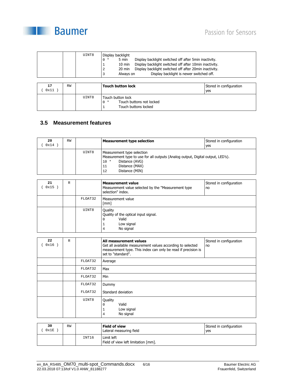

| UINT8 | Display backlight         |                                                        |
|-------|---------------------------|--------------------------------------------------------|
|       | 5 min<br>$0 *$            | Display backlight switched off after 5min inactivity.  |
|       | $10 \text{ min}$          | Display backlight switched off after 10min inactivity. |
|       | 20 min<br>2               | Display backlight switched off after 20min inactivity. |
|       | Always on<br>$\mathbf{z}$ | Display backlight is newer switched off.               |

| 17<br>0x11 | RW |       | <b>Touch button lock</b>                                                       | Stored in configuration<br>yes |
|------------|----|-------|--------------------------------------------------------------------------------|--------------------------------|
|            |    | UINT8 | Touch button lock<br>Touch buttons not locked<br>$0 *$<br>Touch buttons locked |                                |

#### **3.5 Measurement features**

| 20<br>0x14 | RW |       | <b>Measurement type selection</b>                                                                                                                                                         | Stored in configuration<br>yes |
|------------|----|-------|-------------------------------------------------------------------------------------------------------------------------------------------------------------------------------------------|--------------------------------|
|            |    | UINT8 | Measurement type selection<br>Measurement type to use for all outputs (Analog output, Digital output, LED's).<br>Distance (AVG)<br>$10 *$<br>Distance (MAX)<br>11<br>Distance (MIN)<br>12 |                                |

| 21<br>0x15 | R |         | <b>Measurement value</b><br>Measurement value selected by the "Measurement type<br>selection" index. | Stored in configuration<br>no |
|------------|---|---------|------------------------------------------------------------------------------------------------------|-------------------------------|
|            |   | FLOAT32 | Measurement value<br>[mm]                                                                            |                               |
|            |   | UINT8   | Quality<br>Quality of the optical input signal.<br>Valid<br>0<br>Low signal<br>No signal<br>4        |                               |

| 22<br>$0x16$ ) | $\mathbb{R}$ |         | Stored in configuration<br>All measurement values<br>Get all available measurement values according to selected<br>no<br>measurement type. This index can only be read if precision is<br>set to "standard". |
|----------------|--------------|---------|--------------------------------------------------------------------------------------------------------------------------------------------------------------------------------------------------------------|
|                |              | FLOAT32 | Average                                                                                                                                                                                                      |
|                |              | FLOAT32 | Max                                                                                                                                                                                                          |
|                |              | FLOAT32 | Min                                                                                                                                                                                                          |
|                |              | FLOAT32 | Dummy                                                                                                                                                                                                        |
|                |              | FLOAT32 | Standard deviation                                                                                                                                                                                           |
|                |              | UINT8   | Quality<br>Valid<br>$\Omega$<br>Low signal<br>No signal<br>$\overline{4}$                                                                                                                                    |

| 30<br>0x1E | RW |       | Field of view<br>Lateral measuring field          | Stored in configuration<br>ves |
|------------|----|-------|---------------------------------------------------|--------------------------------|
|            |    | INT16 | Limit left<br>Field of view left limitation [mm]. |                                |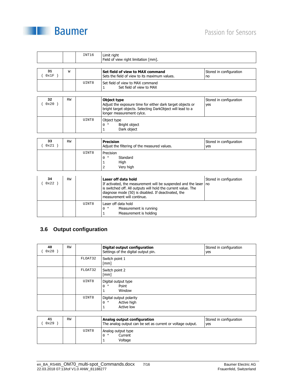



|                |           | INT16 | Limit right<br>Field of view right limitation [mm].                                                                                                                                                                                        |                                |
|----------------|-----------|-------|--------------------------------------------------------------------------------------------------------------------------------------------------------------------------------------------------------------------------------------------|--------------------------------|
|                |           |       |                                                                                                                                                                                                                                            |                                |
| 31<br>(0x1F)   | W         |       | Set field of view to MAX command<br>Sets the field of view to its maximum values.                                                                                                                                                          | Stored in configuration<br>no  |
|                |           | UINT8 | Set field of view to MAX command<br>Set field of view to MAX<br>$\mathbf{1}$                                                                                                                                                               |                                |
|                |           |       |                                                                                                                                                                                                                                            |                                |
| 32<br>$0x20$ ) | <b>RW</b> |       | Object type<br>Adjust the exposure time for either dark target objects or<br>bright target objects. Selecting DarkObject will lead to a<br>longer measurement cylce.                                                                       | Stored in configuration<br>yes |
|                |           | UINT8 | Object type<br>$0 *$<br>Bright object<br>Dark object<br>$\mathbf{1}$                                                                                                                                                                       |                                |
|                |           |       |                                                                                                                                                                                                                                            |                                |
| 33<br>(0x21)   | <b>RW</b> |       | <b>Precision</b><br>Adjust the filtering of the measured values.                                                                                                                                                                           | Stored in configuration<br>yes |
|                |           | UINT8 | Precision<br>$0 *$<br>Standard<br>High<br>1<br>$\overline{a}$<br>Very high                                                                                                                                                                 |                                |
|                |           |       |                                                                                                                                                                                                                                            |                                |
| 34<br>(0x22)   | <b>RW</b> |       | Laser off data hold<br>If activated, the measurement will be suspended and the laser<br>is switched off. All outputs will hold the current value. The<br>diagnose mode (50) is disabled. If deactivated, the<br>measurement will continue. | Stored in configuration<br>no  |
|                |           | UINT8 | Laser off data hold<br>Measurement is running<br>$0 *$<br>Measurement is holding<br>$\mathbf{1}$                                                                                                                                           |                                |

#### **3.6 Output configuration**

| 40<br>0x28 | RW |         | Digital output configuration<br>Settings of the digital output pin. | Stored in configuration<br>yes |
|------------|----|---------|---------------------------------------------------------------------|--------------------------------|
|            |    | FLOAT32 | Switch point 1<br>$\lceil mm \rceil$                                |                                |
|            |    | FLOAT32 | Switch point 2<br>$\lceil mm \rceil$                                |                                |
|            |    | UINT8   | Digital output type<br>Point<br>$0 *$<br>Window                     |                                |
|            |    | UINT8   | Digital output polarity<br>Active high<br>$0 *$<br>Active low       |                                |

| 41<br>0x29 | <b>RW</b> |       | Analog output configuration<br>The analog output can be set as current or voltage output. | Stored in configuration<br>yes |
|------------|-----------|-------|-------------------------------------------------------------------------------------------|--------------------------------|
|            |           | UINT8 | Analog output type<br>Current<br>$0 *$<br>Voltage                                         |                                |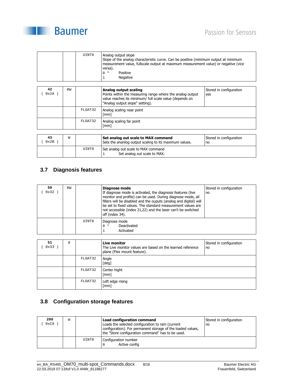## Passion for Sensors



| UINT8 | Analog output slope<br>Slope of the analog characteristic curve. Can be positive (minimum output at minimum<br>measurement value, fullscale output at maximum measurement value) or negative (vice<br>versa). |
|-------|---------------------------------------------------------------------------------------------------------------------------------------------------------------------------------------------------------------|
|       | Positive<br>$0 *$                                                                                                                                                                                             |
|       | <b>Negative</b>                                                                                                                                                                                               |

| 42<br>0x2A | <b>RW</b> |         | Analog output scaling<br>Points within the measuring range where the analog output<br>value reaches its minimum/ full scale value (depends on<br>"Analog output slope" setting). | Stored in configuration<br>yes |
|------------|-----------|---------|----------------------------------------------------------------------------------------------------------------------------------------------------------------------------------|--------------------------------|
|            |           | FLOAT32 | Analog scaling near point<br>[mm]                                                                                                                                                |                                |
|            |           | FLOAT32 | Analog scaling far point<br>[mm]                                                                                                                                                 |                                |

| 43<br>0x2B | W |       | Set analog out scale to MAX command<br>Sets the ananlog output scaling to its maximum values. | Stored in configuration<br>no |
|------------|---|-------|-----------------------------------------------------------------------------------------------|-------------------------------|
|            |   | UINT8 | Set analog out scale to MAX command<br>Set analog out scale to MAX.                           |                               |

#### **3.7 Diagnosis features**

| 50<br>0x32 | <b>RW</b> |       | Diagnose mode<br>If diagnose mode is activated, the diagnosis features (live<br>monitor and profile) can be used. During diagnose mode, all<br>filters will be disabled and the ouputs (analog and digital) will<br>be set to fixed values. The standard measurement values are<br>not accessible (index 21,22) and the laser can't be switched<br>off (index 34). | Stored in configuration<br>no |
|------------|-----------|-------|--------------------------------------------------------------------------------------------------------------------------------------------------------------------------------------------------------------------------------------------------------------------------------------------------------------------------------------------------------------------|-------------------------------|
|            |           | UINT8 | Diagnose mode<br>Deactivated<br>$0 *$<br>Activated                                                                                                                                                                                                                                                                                                                 |                               |

| 51<br>0x33 | $\mathbb R$ |         | Live monitor<br>The Live monitor values are based on the learned reference<br>plane (Flex mount feature). | Stored in configuration<br>no |
|------------|-------------|---------|-----------------------------------------------------------------------------------------------------------|-------------------------------|
|            |             | FLOAT32 | Angle<br>[deg]                                                                                            |                               |
|            |             | FLOAT32 | Center hight<br>[mm]                                                                                      |                               |
|            |             | FLOAT32 | Left edge rising<br>$\lceil mm \rceil$                                                                    |                               |

#### **3.8 Configuration storage features**

| 200<br>0xC8 | W |       | <b>Load configuration command</b><br>Loads the selected configuration to ram (current<br>configuration). For permanent storage of the loaded values,<br>the "Store configuration command" has to be used. | Stored in configuration<br>no |
|-------------|---|-------|-----------------------------------------------------------------------------------------------------------------------------------------------------------------------------------------------------------|-------------------------------|
|             |   | UINT8 | Configuration number<br>Active config                                                                                                                                                                     |                               |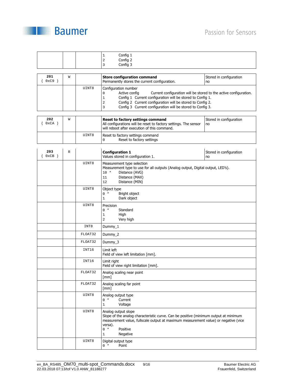

|                             |   |         | Config 1<br>1<br>$\overline{a}$<br>Config 2<br>Config 3<br>3                                                                                                                                                                                                                                                                                               |                               |
|-----------------------------|---|---------|------------------------------------------------------------------------------------------------------------------------------------------------------------------------------------------------------------------------------------------------------------------------------------------------------------------------------------------------------------|-------------------------------|
| 201<br>$0xC9$ )<br>$\left($ | W |         | <b>Store configuration command</b><br>Permanently stores the current configuration.                                                                                                                                                                                                                                                                        | Stored in configuration<br>no |
|                             |   | UINT8   | Configuration number<br>Active config<br>Current configuration will be stored to the active configuration.<br>$\mathsf 0$<br>$\mathbf{1}$<br>Config 1 Current configuration will be stored to Config 1.<br>Config 2 Current configuration will be stored to Config 2.<br>$\overline{2}$<br>3<br>Config 3 Current configuration will be stored to Config 3. |                               |
| 202<br>$0xCA$ )<br>(        | W |         | Reset to factory settings command<br>All configurations will be reset to factory settings. The sensor<br>will reboot after execution of this command.                                                                                                                                                                                                      | Stored in configuration<br>no |
|                             |   | UINT8   | Reset to factory settings command<br>Reset to factory settings<br>0                                                                                                                                                                                                                                                                                        |                               |
| 203<br>(0xCB)               | R |         | <b>Configuration 1</b><br>Values stored in configuration 1.                                                                                                                                                                                                                                                                                                | Stored in configuration<br>no |
|                             |   | UINT8   | Measurement type selection<br>Measurement type to use for all outputs (Analog output, Digital output, LED's).<br>$10 *$<br>Distance (AVG)<br>Distance (MAX)<br>11<br>12<br>Distance (MIN)                                                                                                                                                                  |                               |
|                             |   | UINT8   | Object type<br>$0 *$<br>Bright object<br>Dark object<br>$\mathbf{1}$                                                                                                                                                                                                                                                                                       |                               |
|                             |   | UINT8   | Precision<br>Standard<br>$0 *$<br>$\mathbf 1$<br>High<br>$\overline{2}$<br>Very high                                                                                                                                                                                                                                                                       |                               |
|                             |   | INT8    | Dummy_1                                                                                                                                                                                                                                                                                                                                                    |                               |
|                             |   | FLOAT32 | Dummy_2                                                                                                                                                                                                                                                                                                                                                    |                               |
|                             |   | FLOAT32 | Dummy_3                                                                                                                                                                                                                                                                                                                                                    |                               |
|                             |   | INT16   | Limit left<br>Field of view left limitation [mm].                                                                                                                                                                                                                                                                                                          |                               |
|                             |   | INT16   | Limit right<br>Field of view right limitation [mm].                                                                                                                                                                                                                                                                                                        |                               |
|                             |   | FLOAT32 | Analog scaling near point<br>$\lceil$ mm $\rceil$                                                                                                                                                                                                                                                                                                          |                               |
|                             |   | FLOAT32 | Analog scaling far point<br>[mm]                                                                                                                                                                                                                                                                                                                           |                               |
|                             |   | UINT8   | Analog output type<br>Current<br>$0 *$<br>$\mathbf{1}$<br>Voltage                                                                                                                                                                                                                                                                                          |                               |
|                             |   | UINT8   | Analog output slope<br>Slope of the analog characteristic curve. Can be positive (minimum output at minimum<br>measurement value, fullscale output at maximum measurement value) or negative (vice<br>versa).<br>$0 *$<br>Positive<br>Negative<br>$\mathbf 1$                                                                                              |                               |
|                             |   | UINT8   | Digital output type<br>Point<br>$0 *$                                                                                                                                                                                                                                                                                                                      |                               |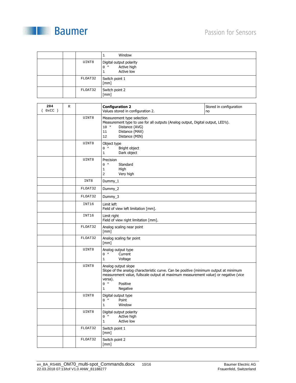



|  |         | Window                                                        |
|--|---------|---------------------------------------------------------------|
|  | UINT8   | Digital output polarity<br>Active high<br>$0 *$<br>Active low |
|  | FLOAT32 | Switch point 1<br>[mm]                                        |
|  | FLOAT32 | Switch point 2<br>[mm]                                        |

| 204<br>(0xCC) | $\mathbb R$ |         | <b>Configuration 2</b><br>Values stored in configuration 2.                                                                                                                                                                                                    | Stored in configuration<br>no |
|---------------|-------------|---------|----------------------------------------------------------------------------------------------------------------------------------------------------------------------------------------------------------------------------------------------------------------|-------------------------------|
|               |             | UINT8   | Measurement type selection<br>Measurement type to use for all outputs (Analog output, Digital output, LED's).<br>Distance (AVG)<br>$10 *$<br>Distance (MAX)<br>11<br>Distance (MIN)<br>12                                                                      |                               |
|               |             | UINT8   | Object type<br>$0 *$<br>Bright object<br>Dark object<br>$\mathbf 1$                                                                                                                                                                                            |                               |
|               |             | UINT8   | Precision<br>$0 *$<br>Standard<br>$\mathbf 1$<br>High<br>Very high<br>2                                                                                                                                                                                        |                               |
|               |             | INT8    | Dummy_1                                                                                                                                                                                                                                                        |                               |
|               |             | FLOAT32 | Dummy_2                                                                                                                                                                                                                                                        |                               |
|               |             | FLOAT32 | Dummy_3                                                                                                                                                                                                                                                        |                               |
|               |             | INT16   | Limit left<br>Field of view left limitation [mm].                                                                                                                                                                                                              |                               |
|               |             | INT16   | Limit right<br>Field of view right limitation [mm].                                                                                                                                                                                                            |                               |
|               |             | FLOAT32 | Analog scaling near point<br>$\lceil mm \rceil$                                                                                                                                                                                                                |                               |
|               |             | FLOAT32 | Analog scaling far point<br>$\lceil mm \rceil$                                                                                                                                                                                                                 |                               |
|               |             | UINT8   | Analog output type<br>Current<br>$0 *$<br>Voltage<br>$\mathbf{1}$                                                                                                                                                                                              |                               |
|               |             | UINT8   | Analog output slope<br>Slope of the analog characteristic curve. Can be positive (minimum output at minimum<br>measurement value, fullscale output at maximum measurement value) or negative (vice<br>versa).<br>$0 *$<br>Positive<br>Negative<br>$\mathbf{1}$ |                               |
|               |             | UINT8   | Digital output type<br>$0 *$<br>Point<br>Window<br>$\mathbf{1}$                                                                                                                                                                                                |                               |
|               |             | UINT8   | Digital output polarity<br>$0 *$<br>Active high<br>Active low<br>$\mathbf{1}$                                                                                                                                                                                  |                               |
|               |             | FLOAT32 | Switch point 1<br>[mm]                                                                                                                                                                                                                                         |                               |
|               |             | FLOAT32 | Switch point 2<br>$\lceil mm \rceil$                                                                                                                                                                                                                           |                               |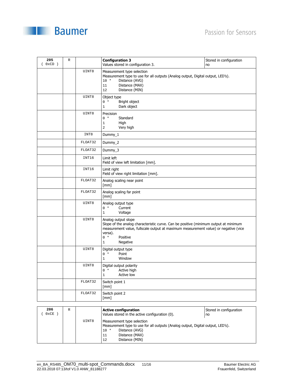

|  |  |  |  |  |  | <b>Baumer</b> |  |
|--|--|--|--|--|--|---------------|--|
|  |  |  |  |  |  |               |  |
|  |  |  |  |  |  |               |  |
|  |  |  |  |  |  |               |  |
|  |  |  |  |  |  |               |  |
|  |  |  |  |  |  |               |  |
|  |  |  |  |  |  |               |  |
|  |  |  |  |  |  |               |  |
|  |  |  |  |  |  |               |  |
|  |  |  |  |  |  |               |  |

 $\begin{picture}(20,10) \put(0,0){\vector(1,0){100}} \put(10,0){\vector(1,0){100}} \put(10,0){\vector(1,0){100}} \put(10,0){\vector(1,0){100}} \put(10,0){\vector(1,0){100}} \put(10,0){\vector(1,0){100}} \put(10,0){\vector(1,0){100}} \put(10,0){\vector(1,0){100}} \put(10,0){\vector(1,0){100}} \put(10,0){\vector(1,0){100}} \put(10,0){\vector(1,0){100}} \$ 

| 205<br>$0xCD$ ) | $\mathbb R$ |         | <b>Configuration 3</b><br>Values stored in configuration 3.                                                                                                                                                                                                    | Stored in configuration<br>no |
|-----------------|-------------|---------|----------------------------------------------------------------------------------------------------------------------------------------------------------------------------------------------------------------------------------------------------------------|-------------------------------|
|                 |             | UINT8   | Measurement type selection<br>Measurement type to use for all outputs (Analog output, Digital output, LED's).<br>$10 *$<br>Distance (AVG)<br>Distance (MAX)<br>11<br>Distance (MIN)<br>12                                                                      |                               |
|                 |             | UINT8   | Object type<br>$0 *$<br>Bright object<br>Dark object<br>$\mathbf{1}$                                                                                                                                                                                           |                               |
|                 |             | UINT8   | Precision<br>$0 *$<br>Standard<br>High<br>$\mathbf{1}$<br>Very high<br>$\overline{2}$                                                                                                                                                                          |                               |
|                 |             | INT8    | $Dummy_1$                                                                                                                                                                                                                                                      |                               |
|                 |             | FLOAT32 | Dummy_2                                                                                                                                                                                                                                                        |                               |
|                 |             | FLOAT32 | Dummy_3                                                                                                                                                                                                                                                        |                               |
|                 |             | INT16   | Limit left<br>Field of view left limitation [mm].                                                                                                                                                                                                              |                               |
|                 |             | INT16   | Limit right<br>Field of view right limitation [mm].                                                                                                                                                                                                            |                               |
|                 |             | FLOAT32 | Analog scaling near point<br>[mm]                                                                                                                                                                                                                              |                               |
|                 |             | FLOAT32 | Analog scaling far point<br>[mm]                                                                                                                                                                                                                               |                               |
|                 |             | UINT8   | Analog output type<br>$0 *$<br>Current<br>Voltage<br>$\mathbf{1}$                                                                                                                                                                                              |                               |
|                 |             | UINT8   | Analog output slope<br>Slope of the analog characteristic curve. Can be positive (minimum output at minimum<br>measurement value, fullscale output at maximum measurement value) or negative (vice<br>versa).<br>$0 *$<br>Positive<br>Negative<br>$\mathbf{1}$ |                               |
|                 |             | UINT8   | Digital output type<br>Point<br>$0 *$<br>Window<br>$\mathbf{1}$                                                                                                                                                                                                |                               |
|                 |             | UINT8   | Digital output polarity<br>Active high<br>$0 *$<br>Active low<br>$\mathbf{1}$                                                                                                                                                                                  |                               |
|                 |             | FLOAT32 | Switch point 1<br>$\lceil mm \rceil$                                                                                                                                                                                                                           |                               |
|                 |             | FLOAT32 | Switch point 2<br>$\lceil mm \rceil$                                                                                                                                                                                                                           |                               |

| 206<br>$0 \times \mathbb{CE}$ | R |       | <b>Active configuration</b><br>Values stored in the active configuration (0).                                                                                                             | Stored in configuration<br>no |
|-------------------------------|---|-------|-------------------------------------------------------------------------------------------------------------------------------------------------------------------------------------------|-------------------------------|
|                               |   | UINT8 | Measurement type selection<br>Measurement type to use for all outputs (Analog output, Digital output, LED's).<br>Distance (AVG)<br>$10 *$<br>Distance (MAX)<br>11<br>Distance (MIN)<br>12 |                               |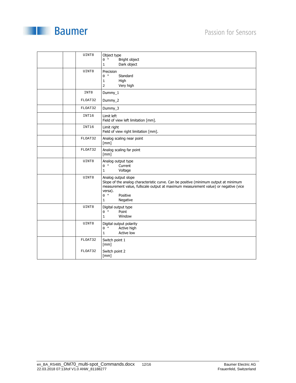



| UINT8   | Object type<br>$0 *$<br>Bright object<br>Dark object<br>$\mathbf 1$                                                                                                                                                                                            |
|---------|----------------------------------------------------------------------------------------------------------------------------------------------------------------------------------------------------------------------------------------------------------------|
| UINT8   | Precision<br>$0 *$<br>Standard<br>High<br>$1\,$<br>Very high<br>$\overline{2}$                                                                                                                                                                                 |
| INT8    | Dummy_1                                                                                                                                                                                                                                                        |
| FLOAT32 | Dummy_2                                                                                                                                                                                                                                                        |
| FLOAT32 | Dummy_3                                                                                                                                                                                                                                                        |
| INT16   | Limit left<br>Field of view left limitation [mm].                                                                                                                                                                                                              |
| INT16   | Limit right<br>Field of view right limitation [mm].                                                                                                                                                                                                            |
| FLOAT32 | Analog scaling near point<br>$\lceil mm \rceil$                                                                                                                                                                                                                |
| FLOAT32 | Analog scaling far point<br>[mm]                                                                                                                                                                                                                               |
| UINT8   | Analog output type<br>$0 *$<br>Current<br>$\mathbf 1$<br>Voltage                                                                                                                                                                                               |
| UINT8   | Analog output slope<br>Slope of the analog characteristic curve. Can be positive (minimum output at minimum<br>measurement value, fullscale output at maximum measurement value) or negative (vice<br>versa).<br>Positive<br>$0 *$<br>Negative<br>$\mathbf{1}$ |
| UINT8   | Digital output type<br>$0 *$<br>Point<br>$\mathbf{1}$<br>Window                                                                                                                                                                                                |
| UINT8   | Digital output polarity<br>$0 *$<br>Active high<br>Active low<br>$\mathbf{1}$                                                                                                                                                                                  |
| FLOAT32 | Switch point 1<br>[mm]                                                                                                                                                                                                                                         |
| FLOAT32 | Switch point 2<br>[mm]                                                                                                                                                                                                                                         |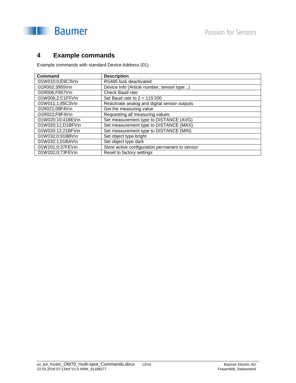



## **4 Example commands**

Example commands with standard Device Address (01).

| Command             | <b>Description</b>                             |
|---------------------|------------------------------------------------|
| :01W010;0;E9C3\r\n  | RS485 lock deactivated                         |
| :01R002;3955\r\n    | Device Info (Article number, sensor type)      |
| :01R006;F957\r\n    | Check Baud rate                                |
| :01W006;2;C1FF\r\n  | Set Baud rate to $2 = 115'200$                 |
| :01W011;1;85C3\r\n  | Reactivate analog and digital sensor outputs   |
| :01R021:09F4\r\n    | Get the measuring value                        |
| :01R022;F9F4\r\n    | Requesting all measuring values                |
| :01W020;10;41BE\r\n | Set measurement type to DISTANCE (AVG)         |
| :01W020;11;D1BF\r\n | Set measurement type to DISTANCE (MAX)         |
| :01W020;12;21BF\r\n | Set measurement type to DISTANCE (MIN)         |
| :01W032:0:91BB\r\n  | Set object type bright                         |
| :01W032;1;01BA\r\n  | Set object type dark                           |
| :01W201;0;37FE\r\n  | Store active configuration permanent to sensor |
| :01W202;0;73FE\r\n  | Reset to factory settings                      |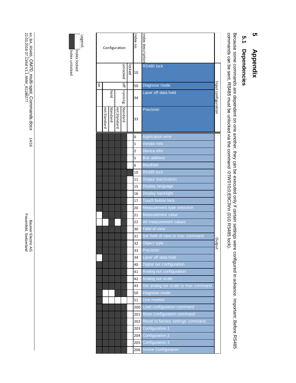## **ທ 5 Appendix**  Appendix

# 5.1 **5.1 Dependencies Dependencies**

Because some commands are dependent on one another, they can be executed only if certain settings were configured in advance. Important: Before RS485<br>commands can be sent, RS485 must be unlocked via the command :01W010;0;E commands can be sent, RS485 must be unlocked via the command :01W010;0;E9C3 Because some commands are dependent on one another, they can be executed only if certain settings were configured in advance. Important: Before RS485 \r\n (010 RS485 lock).

|              |                          |                 | Configuration |          |  | Index no.      | Index description                   |                     |                      |
|--------------|--------------------------|-----------------|---------------|----------|--|----------------|-------------------------------------|---------------------|----------------------|
|              | unlocked<br>locked<br>10 |                 |               |          |  |                | RS485 lock                          |                     |                      |
| $\mathsf{S}$ |                          |                 |               | Ĥ        |  | 50             | Diagnose mode                       |                     |                      |
|              |                          | running<br>pold |               |          |  |                | 34                                  | Laser off data hold | In put configuration |
|              | not Standard             | Standard        | not Standard  | Standard |  | 33             | Precision                           |                     |                      |
|              |                          |                 |               |          |  | 0              | <b>Application error</b>            |                     |                      |
|              |                          |                 |               |          |  | $\mathbf{1}$   | Vendor info                         |                     |                      |
|              |                          |                 |               |          |  | $\overline{2}$ | Device info                         |                     |                      |
|              |                          |                 |               |          |  | 5              | <b>Bus address</b>                  |                     |                      |
|              |                          |                 |               |          |  | 6              | <b>Baudrate</b>                     |                     |                      |
|              |                          |                 |               |          |  | 10             | RS485 lock                          |                     |                      |
|              |                          |                 |               |          |  | 11             | Output reactivation                 |                     |                      |
|              |                          |                 |               |          |  | 15             | Display language                    |                     |                      |
|              |                          |                 |               |          |  | 16             | Display backlight                   |                     |                      |
|              |                          |                 |               |          |  | 17             | <b>Touch button lock</b>            |                     |                      |
|              |                          |                 |               |          |  | 20             | Measurement type selection          |                     |                      |
|              |                          |                 |               |          |  | 21             | Measurement value                   |                     |                      |
|              |                          |                 |               |          |  | 22             | All measurement values              |                     |                      |
|              |                          |                 |               |          |  | 30             | Field of view                       |                     |                      |
|              |                          |                 |               |          |  | 31             | Set field of view to max command    |                     |                      |
|              |                          |                 |               |          |  | 32             | Object type                         | Dutpu               |                      |
|              |                          |                 |               |          |  | 33<br>34       | Precision<br>Laser off data hold    |                     |                      |
|              |                          |                 |               |          |  | 40             | Digital out configuration           |                     |                      |
|              |                          |                 |               |          |  | 41             | Analog out configuration            |                     |                      |
|              |                          |                 |               |          |  | 42             | Analog out scale                    |                     |                      |
|              |                          |                 |               |          |  | 43             | Set analog out scale to max command |                     |                      |
|              |                          |                 |               |          |  | 50             | Diagnose mode                       |                     |                      |
|              |                          |                 |               |          |  | 51             | Live monitor                        |                     |                      |
|              |                          |                 |               |          |  | 200            | Load configuration command          |                     |                      |
|              |                          |                 |               |          |  | 201            | Store configuration command         |                     |                      |
|              |                          |                 |               |          |  | 202            | Reset to factory settings command   |                     |                      |
|              |                          |                 |               |          |  | 203            | Configuration 1                     |                     |                      |
|              |                          |                 |               |          |  | 204            | Configuration 2                     |                     |                      |
|              |                          |                 |               |          |  | 205            | Configuration 3                     |                     |                      |
|              |                          |                 |               |          |  | 206            | <b>Active Configuration</b>         |                     |                      |



Legend:

Index unlocked Index locked

Baumer Electric AG<br>Frauenfeld, Switzerland Frauenfeld, Switzerland Baumer Electric AG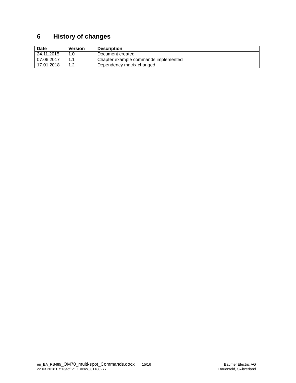## **6 History of changes**

| <b>Date</b> | Version | <b>Description</b>                   |
|-------------|---------|--------------------------------------|
| 24.11.2015  |         | Document created                     |
| 07.06.2017  | 11      | Chapter example commands implemented |
| 17.01.2018  |         | Dependency matrix changed            |